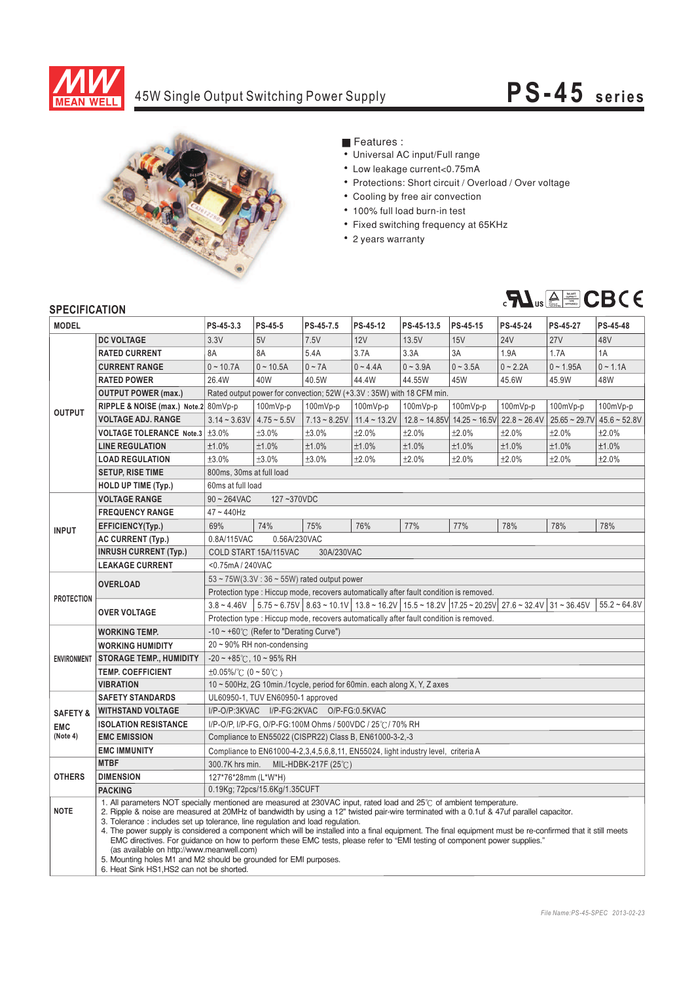

## 45W Single Output Switching Power Supply

# **PS-4 5 s e ri es**



### **Features :**

- Universal AC input/Full range
- Low leakage current<0.75mA
- Protections: Short circuit / Overload / Over voltage
- Cooling by free air convection
- ¡E¡E¡E¡E¡E¡E¡E 100% full load burn-in test
- Fixed switching frequency at 65KHz
- 2 years warranty



#### **SPECIFICATION**

| <b>MODEL</b>        |                                                                                                                                                                                                                                                                                                                                                                                                                                                                                                                                                                                                                                                                                                                                                                                                            | PS-45-3.3                                                                                                                                                           | PS-45-5                                          | PS-45-7.5      | PS-45-12       | PS-45-13.5          | PS-45-15        | PS-45-24       | PS-45-27           | PS-45-48       |  |
|---------------------|------------------------------------------------------------------------------------------------------------------------------------------------------------------------------------------------------------------------------------------------------------------------------------------------------------------------------------------------------------------------------------------------------------------------------------------------------------------------------------------------------------------------------------------------------------------------------------------------------------------------------------------------------------------------------------------------------------------------------------------------------------------------------------------------------------|---------------------------------------------------------------------------------------------------------------------------------------------------------------------|--------------------------------------------------|----------------|----------------|---------------------|-----------------|----------------|--------------------|----------------|--|
|                     | <b>DC VOLTAGE</b>                                                                                                                                                                                                                                                                                                                                                                                                                                                                                                                                                                                                                                                                                                                                                                                          | 3.3V                                                                                                                                                                | 5V                                               | 7.5V           | 12V            | 13.5V               | 15V             | <b>24V</b>     | 27V                | 48V            |  |
| <b>OUTPUT</b>       | <b>RATED CURRENT</b>                                                                                                                                                                                                                                                                                                                                                                                                                                                                                                                                                                                                                                                                                                                                                                                       | 8A                                                                                                                                                                  | 8A                                               | 5.4A           | 3.7A           | 3.3A                | 3A              | 1.9A           | 1.7A               | 1A             |  |
|                     | <b>CURRENT RANGE</b>                                                                                                                                                                                                                                                                                                                                                                                                                                                                                                                                                                                                                                                                                                                                                                                       | $0 - 10.7A$                                                                                                                                                         | $0 - 10.5A$                                      | $0 \sim 7A$    | $0 - 4.4A$     | $0 - 3.9A$          | $0 - 3.5A$      | $0 - 2.2A$     | $0 - 1.95A$        | $0 - 1.1A$     |  |
|                     | <b>RATED POWER</b>                                                                                                                                                                                                                                                                                                                                                                                                                                                                                                                                                                                                                                                                                                                                                                                         | 26.4W                                                                                                                                                               | 40W                                              | 40.5W          | 44.4W          | 44.55W              | 45W             | 45.6W          | 45.9W              | 48W            |  |
|                     | <b>OUTPUT POWER (max.)</b>                                                                                                                                                                                                                                                                                                                                                                                                                                                                                                                                                                                                                                                                                                                                                                                 | Rated output power for convection; 52W (+3.3V: 35W) with 18 CFM min.                                                                                                |                                                  |                |                |                     |                 |                |                    |                |  |
|                     | RIPPLE & NOISE (max.) Note.2 80mVp-p                                                                                                                                                                                                                                                                                                                                                                                                                                                                                                                                                                                                                                                                                                                                                                       |                                                                                                                                                                     | 100mVp-p                                         | 100mVp-p       | 100mVp-p       | 100mVp-p            | 100mVp-p        | 100mVp-p       | $100mVp-p$         | $100mVp-p$     |  |
|                     | <b>VOLTAGE ADJ. RANGE</b>                                                                                                                                                                                                                                                                                                                                                                                                                                                                                                                                                                                                                                                                                                                                                                                  | $3.14 - 3.63V$                                                                                                                                                      | $4.75 - 5.5V$                                    | $7.13 - 8.25V$ | $11.4 - 13.2V$ | $12.8 \sim 14.85$ V | $14.25 - 16.5V$ | $22.8 - 26.4V$ | $25.65 \sim 29.7V$ | $45.6 - 52.8V$ |  |
|                     | VOLTAGE TOLERANCE Note.3   ±3.0%                                                                                                                                                                                                                                                                                                                                                                                                                                                                                                                                                                                                                                                                                                                                                                           |                                                                                                                                                                     | ±3.0%                                            | ±3.0%          | ±2.0%          | ±2.0%               | ±2.0%           | ±2.0%          | ±2.0%              | ±2.0%          |  |
|                     | <b>LINE REGULATION</b>                                                                                                                                                                                                                                                                                                                                                                                                                                                                                                                                                                                                                                                                                                                                                                                     | ±1.0%                                                                                                                                                               | ±1.0%                                            | ±1.0%          | ±1.0%          | ±1.0%               | ±1.0%           | ±1.0%          | ±1.0%              | ±1.0%          |  |
|                     | <b>LOAD REGULATION</b>                                                                                                                                                                                                                                                                                                                                                                                                                                                                                                                                                                                                                                                                                                                                                                                     | ±3.0%                                                                                                                                                               | ±3.0%                                            | ±3.0%          | ±2.0%          | ±2.0%               | ±2.0%           | ±2.0%          | ±2.0%              | ±2.0%          |  |
|                     | <b>SETUP, RISE TIME</b>                                                                                                                                                                                                                                                                                                                                                                                                                                                                                                                                                                                                                                                                                                                                                                                    | 800ms, 30ms at full load                                                                                                                                            |                                                  |                |                |                     |                 |                |                    |                |  |
|                     | <b>HOLD UP TIME (Typ.)</b>                                                                                                                                                                                                                                                                                                                                                                                                                                                                                                                                                                                                                                                                                                                                                                                 | 60ms at full load                                                                                                                                                   |                                                  |                |                |                     |                 |                |                    |                |  |
|                     | <b>VOLTAGE RANGE</b>                                                                                                                                                                                                                                                                                                                                                                                                                                                                                                                                                                                                                                                                                                                                                                                       | 127~370VDC<br>$90 \sim 264$ VAC                                                                                                                                     |                                                  |                |                |                     |                 |                |                    |                |  |
| <b>INPUT</b>        | <b>FREQUENCY RANGE</b>                                                                                                                                                                                                                                                                                                                                                                                                                                                                                                                                                                                                                                                                                                                                                                                     | 47~440Hz                                                                                                                                                            |                                                  |                |                |                     |                 |                |                    |                |  |
|                     | EFFICIENCY(Typ.)                                                                                                                                                                                                                                                                                                                                                                                                                                                                                                                                                                                                                                                                                                                                                                                           | 69%                                                                                                                                                                 | 74%                                              | 75%            | 76%            | 77%                 | 77%             | 78%            | 78%                | 78%            |  |
|                     | <b>AC CURRENT (Typ.)</b>                                                                                                                                                                                                                                                                                                                                                                                                                                                                                                                                                                                                                                                                                                                                                                                   | 0.8A/115VAC                                                                                                                                                         | 0.56A/230VAC                                     |                |                |                     |                 |                |                    |                |  |
|                     | <b>INRUSH CURRENT (Typ.)</b>                                                                                                                                                                                                                                                                                                                                                                                                                                                                                                                                                                                                                                                                                                                                                                               | COLD START 15A/115VAC<br>30A/230VAC                                                                                                                                 |                                                  |                |                |                     |                 |                |                    |                |  |
|                     | <b>LEAKAGE CURRENT</b>                                                                                                                                                                                                                                                                                                                                                                                                                                                                                                                                                                                                                                                                                                                                                                                     | <0.75mA/240VAC                                                                                                                                                      |                                                  |                |                |                     |                 |                |                    |                |  |
| <b>PROTECTION</b>   |                                                                                                                                                                                                                                                                                                                                                                                                                                                                                                                                                                                                                                                                                                                                                                                                            | $53 \sim 75W(3.3V: 36 \sim 55W)$ rated output power                                                                                                                 |                                                  |                |                |                     |                 |                |                    |                |  |
|                     | <b>OVERLOAD</b>                                                                                                                                                                                                                                                                                                                                                                                                                                                                                                                                                                                                                                                                                                                                                                                            | Protection type : Hiccup mode, recovers automatically after fault condition is removed.                                                                             |                                                  |                |                |                     |                 |                |                    |                |  |
|                     | <b>OVER VOLTAGE</b>                                                                                                                                                                                                                                                                                                                                                                                                                                                                                                                                                                                                                                                                                                                                                                                        | $5.75 \times 6.75V$ 8.63 $\sim 10.1V$ 13.8 $\sim 16.2V$ 15.5 $\sim 18.2V$ 17.25 $\sim 20.25V$ 27.6 $\sim 32.4V$ 31 $\sim 36.45V$<br>$55.2 - 64.8V$<br>$3.8 - 4.46V$ |                                                  |                |                |                     |                 |                |                    |                |  |
|                     |                                                                                                                                                                                                                                                                                                                                                                                                                                                                                                                                                                                                                                                                                                                                                                                                            | Protection type : Hiccup mode, recovers automatically after fault condition is removed.                                                                             |                                                  |                |                |                     |                 |                |                    |                |  |
| <b>ENVIRONMENT</b>  | <b>WORKING TEMP.</b>                                                                                                                                                                                                                                                                                                                                                                                                                                                                                                                                                                                                                                                                                                                                                                                       |                                                                                                                                                                     | -10 ~ +60° $\subset$ (Refer to "Derating Curve") |                |                |                     |                 |                |                    |                |  |
|                     | <b>WORKING HUMIDITY</b>                                                                                                                                                                                                                                                                                                                                                                                                                                                                                                                                                                                                                                                                                                                                                                                    | $20 \sim 90\%$ RH non-condensing                                                                                                                                    |                                                  |                |                |                     |                 |                |                    |                |  |
|                     | <b>STORAGE TEMP., HUMIDITY</b>                                                                                                                                                                                                                                                                                                                                                                                                                                                                                                                                                                                                                                                                                                                                                                             | $-20 \sim +85^{\circ}$ C, 10 ~ 95% RH                                                                                                                               |                                                  |                |                |                     |                 |                |                    |                |  |
|                     | <b>TEMP. COEFFICIENT</b>                                                                                                                                                                                                                                                                                                                                                                                                                                                                                                                                                                                                                                                                                                                                                                                   | $\pm 0.05\%$ (0 ~ 50°C)                                                                                                                                             |                                                  |                |                |                     |                 |                |                    |                |  |
|                     | <b>VIBRATION</b>                                                                                                                                                                                                                                                                                                                                                                                                                                                                                                                                                                                                                                                                                                                                                                                           | 10 ~ 500Hz, 2G 10min./1cycle, period for 60min. each along X, Y, Z axes                                                                                             |                                                  |                |                |                     |                 |                |                    |                |  |
|                     | <b>SAFETY STANDARDS</b>                                                                                                                                                                                                                                                                                                                                                                                                                                                                                                                                                                                                                                                                                                                                                                                    | UL60950-1, TUV EN60950-1 approved                                                                                                                                   |                                                  |                |                |                     |                 |                |                    |                |  |
| <b>SAFETY &amp;</b> | <b>WITHSTAND VOLTAGE</b><br>I/P-O/P:3KVAC I/P-FG:2KVAC O/P-FG:0.5KVAC                                                                                                                                                                                                                                                                                                                                                                                                                                                                                                                                                                                                                                                                                                                                      |                                                                                                                                                                     |                                                  |                |                |                     |                 |                |                    |                |  |
| <b>EMC</b>          | <b>ISOLATION RESISTANCE</b>                                                                                                                                                                                                                                                                                                                                                                                                                                                                                                                                                                                                                                                                                                                                                                                | I/P-O/P, I/P-FG, O/P-FG:100M Ohms / 500VDC / 25°C / 70% RH                                                                                                          |                                                  |                |                |                     |                 |                |                    |                |  |
| (Note 4)            | <b>EMC EMISSION</b>                                                                                                                                                                                                                                                                                                                                                                                                                                                                                                                                                                                                                                                                                                                                                                                        | Compliance to EN55022 (CISPR22) Class B, EN61000-3-2,-3                                                                                                             |                                                  |                |                |                     |                 |                |                    |                |  |
|                     | <b>EMC IMMUNITY</b>                                                                                                                                                                                                                                                                                                                                                                                                                                                                                                                                                                                                                                                                                                                                                                                        | Compliance to EN61000-4-2,3,4,5,6,8,11, EN55024, light industry level, criteria A                                                                                   |                                                  |                |                |                     |                 |                |                    |                |  |
| <b>OTHERS</b>       | <b>MTBF</b>                                                                                                                                                                                                                                                                                                                                                                                                                                                                                                                                                                                                                                                                                                                                                                                                | 300.7K hrs min.<br>MIL-HDBK-217F (25 $\degree$ C)                                                                                                                   |                                                  |                |                |                     |                 |                |                    |                |  |
|                     | <b>DIMENSION</b>                                                                                                                                                                                                                                                                                                                                                                                                                                                                                                                                                                                                                                                                                                                                                                                           | 127*76*28mm (L*W*H)                                                                                                                                                 |                                                  |                |                |                     |                 |                |                    |                |  |
|                     | <b>PACKING</b>                                                                                                                                                                                                                                                                                                                                                                                                                                                                                                                                                                                                                                                                                                                                                                                             | 0.19Kg; 72pcs/15.6Kg/1.35CUFT                                                                                                                                       |                                                  |                |                |                     |                 |                |                    |                |  |
| <b>NOTE</b>         | 1. All parameters NOT specially mentioned are measured at 230VAC input, rated load and 25°C of ambient temperature.<br>2. Ripple & noise are measured at 20MHz of bandwidth by using a 12" twisted pair-wire terminated with a 0.1uf & 47uf parallel capacitor.<br>3. Tolerance: includes set up tolerance, line regulation and load regulation.<br>4. The power supply is considered a component which will be installed into a final equipment. The final equipment must be re-confirmed that it still meets<br>EMC directives. For guidance on how to perform these EMC tests, please refer to "EMI testing of component power supplies."<br>(as available on http://www.meanwell.com)<br>5. Mounting holes M1 and M2 should be grounded for EMI purposes.<br>6. Heat Sink HS1, HS2 can not be shorted. |                                                                                                                                                                     |                                                  |                |                |                     |                 |                |                    |                |  |